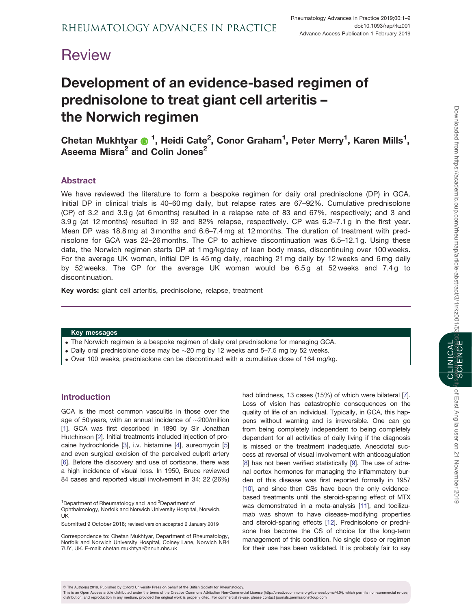# <span id="page-0-0"></span>**Review**

# Development of an evidence-based regimen of prednisolone to treat giant cell arteritis – the Norwich regimen

Chetan Mukhtyar @ <sup>1</sup>, Heidi Cate<sup>2</sup>, Conor Graham<sup>1</sup>, Peter Merry<sup>1</sup>, Karen Mills<sup>1</sup>, Aseema Misra<sup>2</sup> and Colin Jones<sup>2</sup>

# Abstract

We have reviewed the literature to form a bespoke regimen for daily oral prednisolone (DP) in GCA. Initial DP in clinical trials is 40–60 mg daily, but relapse rates are 67–92%. Cumulative prednisolone (CP) of 3.2 and 3.9 g (at 6 months) resulted in a relapse rate of 83 and 67%, respectively; and 3 and 3.9 g (at 12 months) resulted in 92 and 82% relapse, respectively. CP was 6.2–7.1 g in the first year. Mean DP was 18.8 mg at 3 months and 6.6–7.4 mg at 12 months. The duration of treatment with prednisolone for GCA was 22–26 months. The CP to achieve discontinuation was 6.5–12.1 g. Using these data, the Norwich regimen starts DP at 1 mg/kg/day of lean body mass, discontinuing over 100 weeks. For the average UK woman, initial DP is 45 mg daily, reaching 21 mg daily by 12 weeks and 6 mg daily by 52 weeks. The CP for the average UK woman would be 6.5 g at 52 weeks and 7.4 g to discontinuation.

Key words: giant cell arteritis, prednisolone, relapse, treatment

#### Key messages

- . The Norwich regimen is a bespoke regimen of daily oral prednisolone for managing GCA.
- Daily oral prednisolone dose may be  $\sim$  20 mg by 12 weeks and 5–7.5 mg by 52 weeks.
- . Over 100 weeks, prednisolone can be discontinued with a cumulative dose of 164 mg/kg.

# Introduction

GCA is the most common vasculitis in those over the age of 50 years, with an annual incidence of  $\sim$ 200/million [[1](#page-6-0)]. GCA was first described in 1890 by Sir Jonathan Hutchinson [[2](#page-6-0)]. Initial treatments included injection of procaine hydrochloride [[3\]](#page-6-0), i.v. histamine [[4](#page-6-0)], aureomycin [[5](#page-6-0)] and even surgical excision of the perceived culprit artery [[6](#page-6-0)]. Before the discovery and use of cortisone, there was a high incidence of visual loss. In 1950, Bruce reviewed 84 cases and reported visual involvement in 34; 22 (26%)

<sup>1</sup>Department of Rheumatology and and <sup>2</sup>Department of

Ophthalmology, Norfolk and Norwich University Hospital, Norwich, UK

Submitted 9 October 2018; revised version accepted 2 January 2019

Correspondence to: Chetan Mukhtyar, Department of Rheumatology, Norfolk and Norwich University Hospital, Colney Lane, Norwich NR4 7UY, UK. E-mail: chetan.mukhtyar@nnuh.nhs.uk

had blindness, 13 cases (15%) of which were bilateral [[7](#page-6-0)]. Loss of vision has catastrophic consequences on the quality of life of an individual. Typically, in GCA, this happens without warning and is irreversible. One can go from being completely independent to being completely dependent for all activities of daily living if the diagnosis is missed or the treatment inadequate. Anecdotal success at reversal of visual involvement with anticoagulation [[8](#page-6-0)] has not been verified statistically [[9](#page-6-0)]. The use of adrenal cortex hormones for managing the inflammatory burden of this disease was first reported formally in 1957 [[10\]](#page-6-0), and since then CSs have been the only evidencebased treatments until the steroid-sparing effect of MTX was demonstrated in a meta-analysis [[11\]](#page-6-0), and tocilizumab was shown to have disease-modifying properties and steroid-sparing effects [\[12](#page-7-0)]. Prednisolone or prednisone has become the CS of choice for the long-term management of this condition. No single dose or regimen for their use has been validated. It is probably fair to say CLINICAL



This is an Open Access article distributed under the terms of the Creative Commons Attribution Non-Commercial License (http://creativecommons.org/licenses/by-nc/4.0/), which permits non-commercial re-use distribution, and reproduction in any medium, provided the original work is properly cited. For commercial re-use, please contact journals.permissions@oup.com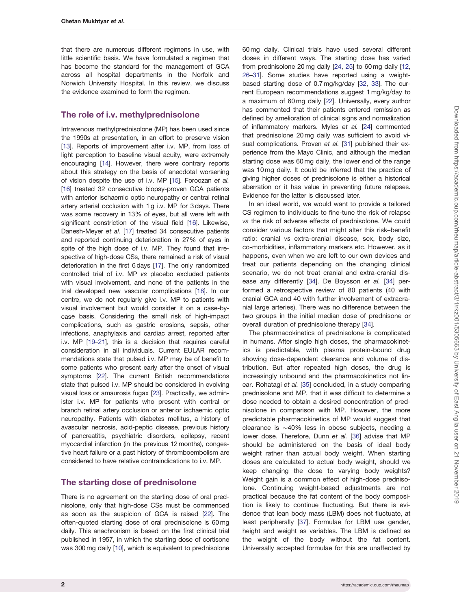<span id="page-1-0"></span>that there are numerous different regimens in use, with little scientific basis. We have formulated a regimen that has become the standard for the management of GCA across all hospital departments in the Norfolk and Norwich University Hospital. In this review, we discuss the evidence examined to form the regimen.

## The role of i.v. methylprednisolone

Intravenous methylprednisolone (MP) has been used since the 1990s at presentation, in an effort to preserve vision [\[13\]](#page-7-0). Reports of improvement after i.v. MP, from loss of light perception to baseline visual acuity, were extremely encouraging [\[14](#page-7-0)]. However, there were contrary reports about this strategy on the basis of anecdotal worsening of vision despite the use of i.v. MP [\[15\]](#page-7-0). Foroozan et al. [\[16\]](#page-7-0) treated 32 consecutive biopsy-proven GCA patients with anterior ischaemic optic neuropathy or central retinal artery arterial occlusion with 1 g i.v. MP for 3 days. There was some recovery in 13% of eyes, but all were left with significant constriction of the visual field [\[16](#page-7-0)]. Likewise, Danesh-Meyer et al. [\[17](#page-7-0)] treated 34 consecutive patients and reported continuing deterioration in 27% of eyes in spite of the high dose of i.v. MP. They found that irrespective of high-dose CSs, there remained a risk of visual deterioration in the first 6 days [[17\]](#page-7-0). The only randomized controlled trial of i.v. MP vs placebo excluded patients with visual involvement, and none of the patients in the trial developed new vascular complications [[18\]](#page-7-0). In our centre, we do not regularly give i.v. MP to patients with visual involvement but would consider it on a case-bycase basis. Considering the small risk of high-impact complications, such as gastric erosions, sepsis, other infections, anaphylaxis and cardiac arrest, reported after i.v. MP [\[19–21\]](#page-7-0), this is a decision that requires careful consideration in all individuals. Current EULAR recommendations state that pulsed i.v. MP may be of benefit to some patients who present early after the onset of visual symptoms [\[22](#page-7-0)]. The current British recommendations state that pulsed i.v. MP should be considered in evolving visual loss or amaurosis fugax [\[23](#page-7-0)]. Practically, we administer i.v. MP for patients who present with central or branch retinal artery occlusion or anterior ischaemic optic neuropathy. Patients with diabetes mellitus, a history of avascular necrosis, acid-peptic disease, previous history of pancreatitis, psychiatric disorders, epilepsy, recent myocardial infarction (in the previous 12 months), congestive heart failure or a past history of thromboembolism are considered to have relative contraindications to i.v. MP.

# The starting dose of prednisolone

There is no agreement on the starting dose of oral prednisolone, only that high-dose CSs must be commenced as soon as the suspicion of GCA is raised [[22\]](#page-7-0). The often-quoted starting dose of oral prednisolone is 60 mg daily. This anachronism is based on the first clinical trial published in 1957, in which the starting dose of cortisone was 300 mg daily [\[10](#page-6-0)], which is equivalent to prednisolone

60 mg daily. Clinical trials have used several different doses in different ways. The starting dose has varied from prednisolone 20 mg daily [\[24](#page-7-0), [25\]](#page-7-0) to 60 mg daily [\[12,](#page-7-0) [26–31](#page-7-0)]. Some studies have reported using a weightbased starting dose of 0.7 mg/kg/day [[32,](#page-7-0) [33](#page-7-0)]. The current European recommendations suggest 1 mg/kg/day to a maximum of 60 mg daily [\[22\]](#page-7-0). Universally, every author has commented that their patients entered remission as defined by amelioration of clinical signs and normalization of inflammatory markers. Myles et al. [[24\]](#page-7-0) commented that prednisolone 20 mg daily was sufficient to avoid visual complications. Proven et al. [\[31](#page-7-0)] published their experience from the Mayo Clinic, and although the median starting dose was 60 mg daily, the lower end of the range was 10 mg daily. It could be inferred that the practice of giving higher doses of prednisolone is either a historical aberration or it has value in preventing future relapses. Evidence for the latter is discussed later.

In an ideal world, we would want to provide a tailored CS regimen to individuals to fine-tune the risk of relapse vs the risk of adverse effects of prednisolone. We could consider various factors that might alter this risk–benefit ratio: cranial vs extra-cranial disease, sex, body size, co-morbidities, inflammatory markers etc. However, as it happens, even when we are left to our own devices and treat our patients depending on the changing clinical scenario, we do not treat cranial and extra-cranial disease any differently [\[34\]](#page-7-0). De Boysson et al. [[34](#page-7-0)] performed a retrospective review of 80 patients (40 with cranial GCA and 40 with further involvement of extracranial large arteries). There was no difference between the two groups in the initial median dose of prednisone or overall duration of prednisolone therapy [\[34\]](#page-7-0).

The pharmacokinetics of prednisolone is complicated in humans. After single high doses, the pharmacokinetics is predictable, with plasma protein-bound drug showing dose-dependent clearance and volume of distribution. But after repeated high doses, the drug is increasingly unbound and the pharmacokinetics not linear. Rohatagi et al. [\[35\]](#page-7-0) concluded, in a study comparing prednisolone and MP, that it was difficult to determine a dose needed to obtain a desired concentration of prednisolone in comparison with MP. However, the more predictable pharmacokinetics of MP would suggest that clearance is  $\sim$  40% less in obese subjects, needing a lower dose. Therefore, Dunn et al. [\[36\]](#page-7-0) advise that MP should be administered on the basis of ideal body weight rather than actual body weight. When starting doses are calculated to actual body weight, should we keep changing the dose to varying body weights? Weight gain is a common effect of high-dose prednisolone. Continuing weight-based adjustments are not practical because the fat content of the body composition is likely to continue fluctuating. But there is evidence that lean body mass (LBM) does not fluctuate, at least peripherally [[37\]](#page-7-0). Formulae for LBM use gender, height and weight as variables. The LBM is defined as the weight of the body without the fat content. Universally accepted formulae for this are unaffected by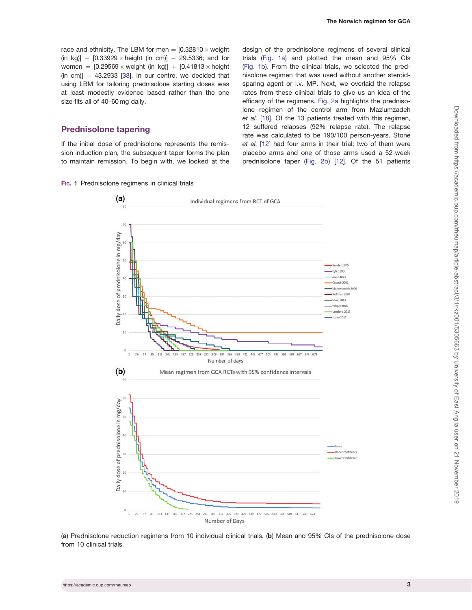<span id="page-2-0"></span>race and ethnicity. The LBM for men  $=$  [0.32810  $\times$  weight (in kg)] +  $[0.33929 \times \text{height}$  (in cm)] - 29.5336; and for women =  $[0.29569 \times \text{weight (in kg)}] + [0.41813 \times \text{height}$  $(in cm)$ ]  $-$  43.2933 [\[38](#page-7-0)]. In our centre, we decided that using LBM for tailoring prednisolone starting doses was at least modestly evidence based rather than the one size fits all of 40–60 mg daily.

## Prednisolone tapering

If the initial dose of prednisolone represents the remission induction plan, the subsequent taper forms the plan to maintain remission. To begin with, we looked at the

Fig. 1 Prednisolone regimens in clinical trials

design of the prednisolone regimens of several clinical trials (Fig. 1a) and plotted the mean and 95% CIs (Fig. 1b). From the clinical trials, we selected the prednisolone regimen that was used without another steroidsparing agent or i.v. MP. Next, we overlaid the relapse rates from these clinical trials to give us an idea of the efficacy of the regimens. [Fig. 2a](#page-3-0) highlights the prednisolone regimen of the control arm from Mazlumzadeh et al. [\[18](#page-7-0)]. Of the 13 patients treated with this regimen, 12 suffered relapses (92% relapse rate). The relapse rate was calculated to be 190/100 person-years. Stone et al. [[12](#page-7-0)] had four arms in their trial; two of them were placebo arms and one of those arms used a 52-week prednisolone taper ([Fig. 2b](#page-3-0)) [\[12](#page-7-0)]. Of the 51 patients



(a) Prednisolone reduction regimens from 10 individual clinical trials. (b) Mean and 95% CIs of the prednisolone dose from 10 clinical trials.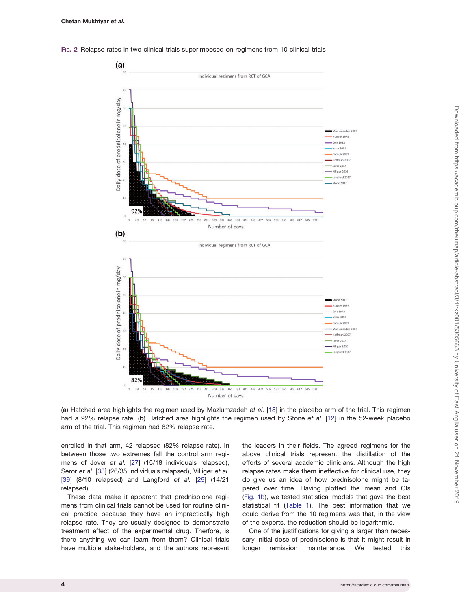<span id="page-3-0"></span>FIG. 2 Relapse rates in two clinical trials superimposed on regimens from 10 clinical trials



Downloaded from https://academic.oup.com/rheumap/article-abstract/3/1/rkz001/5305663 by University of East Anglia user on 21 November 2019 Downloaded from https://academic.oup.com/rheumap/article-abstract/3/1/rkz001/5305663 by University of East Anglia user on 21 November 2019

(a) Hatched area highlights the regimen used by Mazlumzadeh et al. [[18\]](#page-7-0) in the placebo arm of the trial. This regimen had a 92% relapse rate. (b) Hatched area highlights the regimen used by Stone et al. [[12](#page-7-0)] in the 52-week placebo arm of the trial. This regimen had 82% relapse rate.

enrolled in that arm, 42 relapsed (82% relapse rate). In between those two extremes fall the control arm regimens of Jover et al. [\[27\]](#page-7-0) (15/18 individuals relapsed), Seror et al. [[33](#page-7-0)] (26/35 individuals relapsed), Villiger et al. [[39\]](#page-7-0) (8/10 relapsed) and Langford et al. [\[29\]](#page-7-0) (14/21 relapsed).

These data make it apparent that prednisolone regimens from clinical trials cannot be used for routine clinical practice because they have an impractically high relapse rate. They are usually designed to demonstrate treatment effect of the experimental drug. Therfore, is there anything we can learn from them? Clinical trials have multiple stake-holders, and the authors represent

the leaders in their fields. The agreed regimens for the above clinical trials represent the distillation of the efforts of several academic clinicians. Although the high relapse rates make them ineffective for clinical use, they do give us an idea of how prednisolone might be tapered over time. Having plotted the mean and CIs ([Fig.](#page-2-0) 1b), we tested statistical models that gave the best statistical fit ([Table 1\)](#page-4-0). The best information that we could derive from the 10 regimens was that, in the view of the experts, the reduction should be logarithmic.

One of the justifications for giving a larger than necessary initial dose of prednisolone is that it might result in longer remission maintenance. We tested this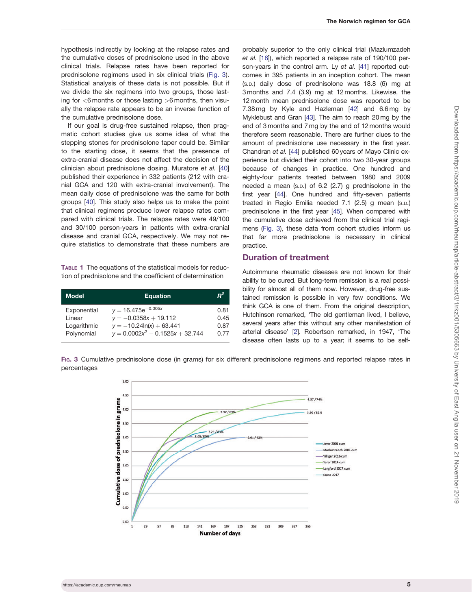<span id="page-4-0"></span>hypothesis indirectly by looking at the relapse rates and the cumulative doses of prednisolone used in the above clinical trials. Relapse rates have been reported for prednisolone regimens used in six clinical trials (Fig. 3). Statistical analysis of these data is not possible. But if we divide the six regimens into two groups, those lasting for  $<$ 6 months or those lasting  $>$ 6 months, then visually the relapse rate appears to be an inverse function of the cumulative prednisolone dose.

If our goal is drug-free sustained relapse, then pragmatic cohort studies give us some idea of what the stepping stones for prednisolone taper could be. Similar to the starting dose, it seems that the presence of extra-cranial disease does not affect the decision of the clinician about prednisolone dosing. Muratore et al. [\[40](#page-7-0)] published their experience in 332 patients (212 with cranial GCA and 120 with extra-cranial involvement). The mean daily dose of prednisolone was the same for both groups [[40\]](#page-7-0). This study also helps us to make the point that clinical regimens produce lower relapse rates compared with clinical trials. The relapse rates were 49/100 and 30/100 person-years in patients with extra-cranial disease and cranial GCA, respectively. We may not require statistics to demonstrate that these numbers are

TABLE 1 The equations of the statistical models for reduction of prednisolone and the coefficient of determination

| Model       | <b>Equation</b>                    | $R^2$ |
|-------------|------------------------------------|-------|
| Exponential | $y = 16.475e^{-0.005x}$            | 0.81  |
| Linear      | $y = -0.0358x + 19.112$            | 0.45  |
| Logarithmic | $y = -10.24\ln(x) + 63.441$        | 0.87  |
| Polynomial  | $y = 0.0002x^2 - 0.1525x + 32.744$ | 0.77  |

probably superior to the only clinical trial (Mazlumzadeh et al. [[18\]](#page-7-0)), which reported a relapse rate of 190/100 per-son-years in the control arm. Ly et al. [\[41\]](#page-7-0) reported outcomes in 395 patients in an inception cohort. The mean (S.D.) daily dose of prednisolone was 18.8 (6) mg at 3 months and 7.4 (3.9) mg at 12 months. Likewise, the 12 month mean prednisolone dose was reported to be 7.38 mg by Kyle and Hazleman [\[42\]](#page-7-0) and 6.6 mg by Myklebust and Gran [\[43\]](#page-7-0). The aim to reach 20 mg by the end of 3 months and 7 mg by the end of 12 months would therefore seem reasonable. There are further clues to the amount of prednisolone use necessary in the first year. Chandran et al. [\[44](#page-7-0)] published 60 years of Mayo Clinic experience but divided their cohort into two 30-year groups because of changes in practice. One hundred and eighty-four patients treated between 1980 and 2009 needed a mean (S.D.) of 6.2 (2.7) g prednisolone in the first year [\[44](#page-7-0)]. One hundred and fifty-seven patients treated in Regio Emilia needed 7.1 (2.5) g mean (S.D.) prednisolone in the first year [\[45\]](#page-8-0). When compared with the cumulative dose achieved from the clinical trial regimens (Fig. 3), these data from cohort studies inform us that far more prednisolone is necessary in clinical practice.

### Duration of treatment

Autoimmune rheumatic diseases are not known for their ability to be cured. But long-term remission is a real possibility for almost all of them now. However, drug-free sustained remission is possible in very few conditions. We think GCA is one of them. From the original description, Hutchinson remarked, 'The old gentleman lived, I believe, several years after this without any other manifestation of arterial disease' [\[2\]](#page-6-0). Robertson remarked, in 1947, 'The disease often lasts up to a year; it seems to be self-

FIG. 3 Cumulative prednisolone dose (in grams) for six different prednisolone regimens and reported relapse rates in percentages

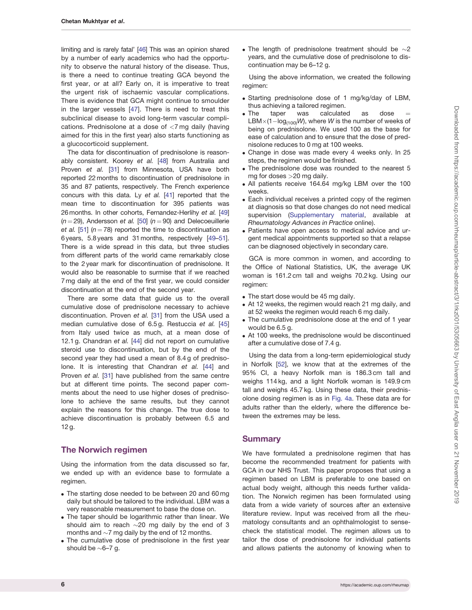<span id="page-5-0"></span>limiting and is rarely fatal' [\[46](#page-8-0)] This was an opinion shared by a number of early academics who had the opportunity to observe the natural history of the disease. Thus, is there a need to continue treating GCA beyond the first year, or at all? Early on, it is imperative to treat the urgent risk of ischaemic vascular complications. There is evidence that GCA might continue to smoulder in the larger vessels [\[47\]](#page-8-0). There is need to treat this subclinical disease to avoid long-term vascular complications. Prednisolone at a dose of <7 mg daily (having aimed for this in the first year) also starts functioning as a glucocorticoid supplement.

The data for discontinuation of prednisolone is reasonably consistent. Koorey et al. [[48\]](#page-8-0) from Australia and Proven et al. [\[31](#page-7-0)] from Minnesota, USA have both reported 22 months to discontinuation of prednisolone in 35 and 87 patients, respectively. The French experience concurs with this data. Ly et al. [[41](#page-7-0)] reported that the mean time to discontinuation for 395 patients was 26 months. In other cohorts, Fernandez-Herlihy et al. [\[49](#page-8-0)]  $(n = 29)$ , Andersson et al. [\[50\]](#page-8-0)  $(n = 90)$  and Delecoeuillerie et al. [[51\]](#page-8-0) ( $n = 78$ ) reported the time to discontinuation as 6 years, 5.8 years and 31 months, respectively [[49–51](#page-8-0)]. There is a wide spread in this data, but three studies from different parts of the world came remarkably close to the 2 year mark for discontinuation of prednisolone. It would also be reasonable to surmise that if we reached 7 mg daily at the end of the first year, we could consider discontinuation at the end of the second year.

There are some data that guide us to the overall cumulative dose of prednisolone necessary to achieve discontinuation. Proven et al. [[31](#page-7-0)] from the USA used a median cumulative dose of 6.5 g. Restuccia et al. [\[45](#page-8-0)] from Italy used twice as much, at a mean dose of 12.1 g. Chandran et al. [[44\]](#page-7-0) did not report on cumulative steroid use to discontinuation, but by the end of the second year they had used a mean of 8.4 g of predniso-lone. It is interesting that Chandran et al. [[44](#page-7-0)] and Proven et al. [\[31](#page-7-0)] have published from the same centre but at different time points. The second paper comments about the need to use higher doses of prednisolone to achieve the same results, but they cannot explain the reasons for this change. The true dose to achieve discontinuation is probably between 6.5 and 12 g.

## The Norwich regimen

Using the information from the data discussed so far, we ended up with an evidence base to formulate a regimen.

- . The starting dose needed to be between 20 and 60 mg daily but should be tailored to the individual. LBM was a very reasonable measurement to base the dose on.
- . The taper should be logarithmic rather than linear. We should aim to reach  $\sim$ 20 mg daily by the end of 3 months and  ${\sim}7$  mg daily by the end of 12 months.
- . The cumulative dose of prednisolone in the first year should be  $\sim$ 6–7 g.

• The length of prednisolone treatment should be  $\sim$ 2 years, and the cumulative dose of prednisolone to discontinuation may be 6–12 g.

Using the above information, we created the following regimen:

- . Starting prednisolone dose of 1 mg/kg/day of LBM, thus achieving a tailored regimen.
- . The taper was calculated as dose LBM $\times$ (1-log<sub>(100)</sub>W), where W is the number of weeks of being on prednisolone. We used 100 as the base for ease of calculation and to ensure that the dose of prednisolone reduces to 0 mg at 100 weeks.
- . Change in dose was made every 4 weeks only. In 25 steps, the regimen would be finished.
- . The prednisolone dose was rounded to the nearest 5 mg for doses >20 mg daily.
- . All patients receive 164.64 mg/kg LBM over the 100 weeks.
- . Each individual receives a printed copy of the regimen at diagnosis so that dose changes do not need medical supervision [\(Supplementary material,](https://academic.oup.com/rheumap/article-lookup/doi/10.1093/rap/rkz001#supplementary-data) available at Rheumatology Advances in Practice online).
- . Patients have open access to medical advice and urgent medical appointments supported so that a relapse can be diagnosed objectively in secondary care.

GCA is more common in women, and according to the Office of National Statistics, UK, the average UK woman is 161.2 cm tall and weighs 70.2 kg. Using our regimen:

- . The start dose would be 45 mg daily.
- . At 12 weeks, the regimen would reach 21 mg daily, and at 52 weeks the regimen would reach 6 mg daily.
- . The cumulative prednisolone dose at the end of 1 year would be 6.5 g.
- . At 100 weeks, the prednisolone would be discontinued after a cumulative dose of 7.4 g.

Using the data from a long-term epidemiological study in Norfolk [[52\]](#page-8-0), we know that at the extremes of the 95% CI, a heavy Norfolk man is 186.3 cm tall and weighs 114 kg, and a light Norfolk woman is 149.9 cm tall and weighs 45.7 kg. Using these data, their prednisolone dosing regimen is as in [Fig.](#page-6-0) 4a. These data are for adults rather than the elderly, where the difference between the extremes may be less.

## **Summary**

We have formulated a prednisolone regimen that has become the recommended treatment for patients with GCA in our NHS Trust. This paper proposes that using a regimen based on LBM is preferable to one based on actual body weight, although this needs further validation. The Norwich regimen has been formulated using data from a wide variety of sources after an extensive literature review. Input was received from all the rheumatology consultants and an ophthalmologist to sensecheck the statistical model. The regimen allows us to tailor the dose of prednisolone for individual patients and allows patients the autonomy of knowing when to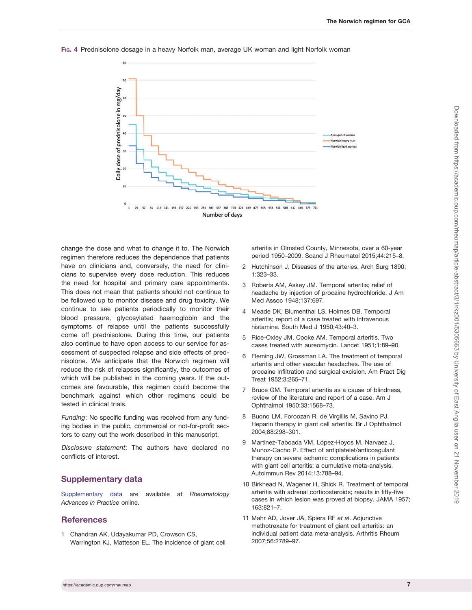

#### <span id="page-6-0"></span>FIG. 4 Prednisolone dosage in a heavy Norfolk man, average UK woman and light Norfolk woman

change the dose and what to change it to. The Norwich regimen therefore reduces the dependence that patients have on clinicians and, conversely, the need for clinicians to supervise every dose reduction. This reduces the need for hospital and primary care appointments. This does not mean that patients should not continue to be followed up to monitor disease and drug toxicity. We continue to see patients periodically to monitor their blood pressure, glycosylated haemoglobin and the symptoms of relapse until the patients successfully come off prednisolone. During this time, our patients also continue to have open access to our service for assessment of suspected relapse and side effects of prednisolone. We anticipate that the Norwich regimen will reduce the risk of relapses significantly, the outcomes of which will be published in the coming years. If the outcomes are favourable, this regimen could become the benchmark against which other regimens could be tested in clinical trials.

Funding: No specific funding was received from any funding bodies in the public, commercial or not-for-profit sectors to carry out the work described in this manuscript.

Disclosure statement: The authors have declared no conflicts of interest.

## Supplementary data

[Supplementary data](https://academic.oup.com/rheumap/article-lookup/doi/10.1093/rap/rkz001#supplementary-data) are available at Rheumatology Advances in Practice online.

### **References**

[1](#page-0-0) Chandran AK, Udayakumar PD, Crowson CS, Warrington KJ, Matteson EL. The incidence of giant cell arteritis in Olmsted County, Minnesota, over a 60-year period 1950–2009. Scand J Rheumatol 2015;44:215–8.

- [2](#page-0-0) Hutchinson J. Diseases of the arteries. Arch Surg 1890; 1:323–33.
- [3](#page-0-0) Roberts AM, Askey JM. Temporal arteritis; relief of headache by injection of procaine hydrochloride. J Am Med Assoc 1948;137:697.
- [4](#page-0-0) Meade DK, Blumenthal LS, Holmes DB. Temporal arteritis; report of a case treated with intravenous histamine. South Med J 1950;43:40-3.
- [5](#page-0-0) Rice-Oxley JM, Cooke AM. Temporal arteritis. Two cases treated with aureomycin. Lancet 1951;1:89–90.
- [6](#page-0-0) Fleming JW, Grossman LA. The treatment of temporal arteritis and other vascular headaches. The use of procaine infiltration and surgical excision. Am Pract Dig Treat 1952;3:265–71.
- [7](#page-0-0) Bruce GM. Temporal arteritis as a cause of blindness, review of the literature and report of a case. Am J Ophthalmol 1950;33:1568–73.
- [8](#page-0-0) Buono LM, Foroozan R, de Virgiliis M, Savino PJ. Heparin therapy in giant cell arteritis. Br J Ophthalmol 2004;88:298–301.
- [9](#page-0-0) Martínez-Taboada VM, López-Hoyos M, Narvaez J, Muñoz-Cacho P. Effect of antiplatelet/anticoagulant therapy on severe ischemic complications in patients with giant cell arteritis: a cumulative meta-analysis. Autoimmun Rev 2014;13:788–94.
- [10](#page-0-0) Birkhead N, Wagener H, Shick R. Treatment of temporal arteritis with adrenal corticosteroids; results in fifty-five cases in which lesion was proved at biopsy. JAMA 1957; 163:821–7.
- [11](#page-0-0) Mahr AD, Jover JA, Spiera RF et al. Adjunctive methotrexate for treatment of giant cell arteritis: an individual patient data meta-analysis. Arthritis Rheum 2007;56:2789–97.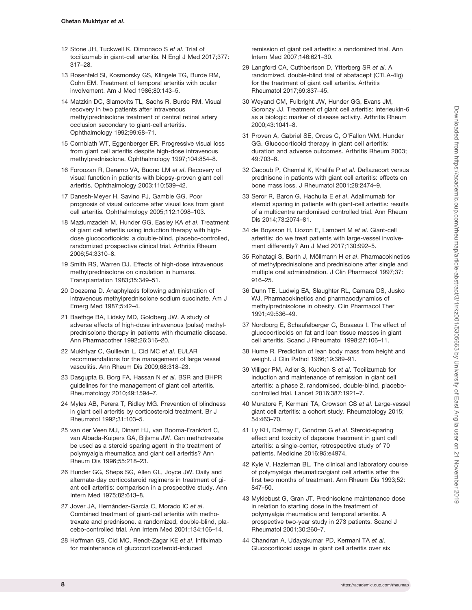- <span id="page-7-0"></span>[12](#page-0-0) Stone JH, Tuckwell K, Dimonaco S et al. Trial of tocilizumab in giant-cell arteritis. N Engl J Med 2017;377: 317–28.
- [13](#page-1-0) Rosenfeld SI, Kosmorsky GS, Klingele TG, Burde RM, Cohn EM. Treatment of temporal arteritis with ocular involvement. Am J Med 1986;80:143–5.
- [14](#page-1-0) Matzkin DC, Slamovits TL, Sachs R, Burde RM. Visual recovery in two patients after intravenous methylprednisolone treatment of central retinal artery occlusion secondary to giant-cell arteritis. Ophthalmology 1992;99:68–71.
- [15](#page-1-0) Cornblath WT, Eggenberger ER. Progressive visual loss from giant cell arteritis despite high-dose intravenous methylprednisolone. Ophthalmology 1997;104:854–8.
- [16](#page-1-0) Foroozan R, Deramo VA, Buono LM et al. Recovery of visual function in patients with biopsy-proven giant cell arteritis. Ophthalmology 2003;110:539–42.
- [17](#page-1-0) Danesh-Meyer H, Savino PJ, Gamble GG. Poor prognosis of visual outcome after visual loss from giant cell arteritis. Ophthalmology 2005;112:1098–103.
- [18](#page-1-0) Mazlumzadeh M, Hunder GG, Easley KA et al. Treatment of giant cell arteritis using induction therapy with highdose glucocorticoids: a double-blind, placebo-controlled, randomized prospective clinical trial. Arthritis Rheum 2006;54:3310–8.
- 19 Smith RS, Warren DJ. Effects of high-dose intravenous methylprednisolone on circulation in humans. Transplantation 1983;35:349–51.
- 20 Doezema D. Anaphylaxis following administration of intravenous methylprednisolone sodium succinate. Am J Emerg Med 1987;5:42–4.
- 21 Baethge BA, Lidsky MD, Goldberg JW. A study of adverse effects of high-dose intravenous (pulse) methylprednisolone therapy in patients with rheumatic disease. Ann Pharmacother 1992;26:316–20.
- [22](#page-1-0) Mukhtyar C, Guillevin L, Cid MC et al. EULAR recommendations for the management of large vessel vasculitis. Ann Rheum Dis 2009;68:318–23.
- [23](#page-1-0) Dasgupta B, Borg FA, Hassan N et al. BSR and BHPR guidelines for the management of giant cell arteritis. Rheumatology 2010;49:1594–7.
- [24](#page-1-0) Myles AB, Perera T, Ridley MG. Prevention of blindness in giant cell arteritis by corticosteroid treatment. Br J Rheumatol 1992;31:103–5.
- [25](#page-1-0) van der Veen MJ, Dinant HJ, van Booma-Frankfort C, van Albada-Kuipers GA, Bijlsma JW. Can methotrexate be used as a steroid sparing agent in the treatment of polymyalgia rheumatica and giant cell arteritis? Ann Rheum Dis 1996;55:218–23.
- 26 Hunder GG, Sheps SG, Allen GL, Joyce JW. Daily and alternate-day corticosteroid regimens in treatment of giant cell arteritis: comparison in a prospective study. Ann Intern Med 1975;82:613–8.
- [27](#page-3-0) Jover JA, Hernández-García C, Morado IC et al. Combined treatment of giant-cell arteritis with methotrexate and prednisone. a randomized, double-blind, placebo-controlled trial. Ann Intern Med 2001;134:106–14.
- 28 Hoffman GS, Cid MC, Rendt-Zagar KE et al. Infliximab for maintenance of glucocorticosteroid-induced

remission of giant cell arteritis: a randomized trial. Ann Intern Med 2007;146:621–30.

- [29](#page-3-0) Langford CA, Cuthbertson D, Ytterberg SR et al. A randomized, double-blind trial of abatacept (CTLA-4Ig) for the treatment of giant cell arteritis. Arthritis Rheumatol 2017;69:837–45.
- 30 Weyand CM, Fulbright JW, Hunder GG, Evans JM, Goronzy JJ. Treatment of giant cell arteritis: interleukin-6 as a biologic marker of disease activity. Arthritis Rheum 2000;43:1041–8.
- [31](#page-1-0) Proven A, Gabriel SE, Orces C, O'Fallon WM, Hunder GG. Glucocorticoid therapy in giant cell arteritis: duration and adverse outcomes. Arthritis Rheum 2003; 49:703–8.
- [32](#page-1-0) Cacoub P, Chemlal K, Khalifa P et al. Deflazacort versus prednisone in patients with giant cell arteritis: effects on bone mass loss. J Rheumatol 2001;28:2474–9.
- [33](#page-1-0) Seror R, Baron G, Hachulla E et al. Adalimumab for steroid sparing in patients with giant-cell arteritis: results of a multicentre randomised controlled trial. Ann Rheum Dis 2014;73:2074–81.
- [34](#page-1-0) de Boysson H, Liozon E, Lambert M et al. Giant-cell arteritis: do we treat patients with large-vessel involvement differently? Am J Med 2017;130:992–5.
- [35](#page-1-0) Rohatagi S, Barth J, Möllmann H et al. Pharmacokinetics of methylprednisolone and prednisolone after single and multiple oral administration. J Clin Pharmacol 1997;37: 916–25.
- [36](#page-1-0) Dunn TE, Ludwig EA, Slaughter RL, Camara DS, Jusko WJ. Pharmacokinetics and pharmacodynamics of methylprednisolone in obesity. Clin Pharmacol Ther 1991;49:536–49.
- [37](#page-1-0) Nordborg E, Schaufelberger C, Bosaeus I. The effect of glucocorticoids on fat and lean tissue masses in giant cell arteritis. Scand J Rheumatol 1998;27:106–11.
- [38](#page-2-0) Hume R. Prediction of lean body mass from height and weight. J Clin Pathol 1966;19:389–91.
- [39](#page-3-0) Villiger PM, Adler S, Kuchen S et al. Tocilizumab for induction and maintenance of remission in giant cell arteritis: a phase 2, randomised, double-blind, placebocontrolled trial. Lancet 2016;387:1921–7.
- [40](#page-4-0) Muratore F, Kermani TA, Crowson CS et al. Large-vessel giant cell arteritis: a cohort study. Rheumatology 2015; 54:463–70.
- [41](#page-4-0) Ly KH, Dalmay F, Gondran G et al. Steroid-sparing effect and toxicity of dapsone treatment in giant cell arteritis: a single-center, retrospective study of 70 patients. Medicine 2016;95:e4974.
- [42](#page-4-0) Kyle V, Hazleman BL. The clinical and laboratory course of polymyalgia rheumatica/giant cell arteritis after the first two months of treatment. Ann Rheum Dis 1993;52: 847–50.
- [43](#page-4-0) Myklebust G, Gran JT. Prednisolone maintenance dose in relation to starting dose in the treatment of polymyalgia rheumatica and temporal arteritis. A prospective two-year study in 273 patients. Scand J Rheumatol 2001;30:260–7.
- [44](#page-4-0) Chandran A, Udayakumar PD, Kermani TA et al. Glucocorticoid usage in giant cell arteritis over six